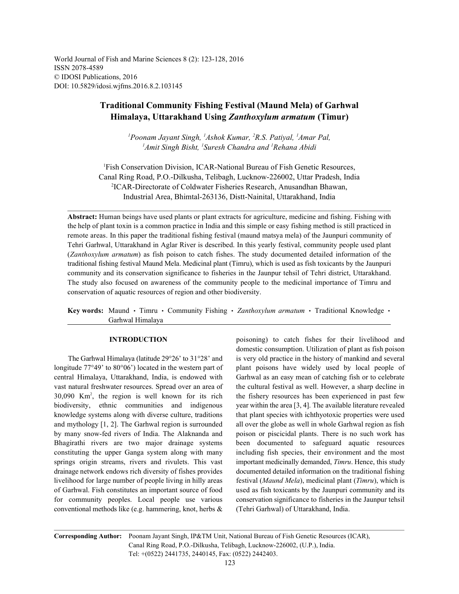World Journal of Fish and Marine Sciences 8 (2): 123-128, 2016 ISSN 2078-4589 © IDOSI Publications, 2016 DOI: 10.5829/idosi.wjfms.2016.8.2.103145

# **Traditional Community Fishing Festival (Maund Mela) of Garhwal Himalaya, Uttarakhand Using** *Zanthoxylum armatum* **(Timur)**

<sup>*P*</sup> *Poonam Jayant Singh, <sup>1</sup>Ashok Kumar, <sup>2</sup>R.S. Patiyal, <sup>1</sup>Amar Pal,* <sup>1</sup>Amit Singh Bisht, <sup>1</sup>Suresh Chandra and <sup>1</sup>Rehana Abidi

Fish Conservation Division, ICAR-National Bureau of Fish Genetic Resources, <sup>1</sup> Canal Ring Road, P.O.-Dilkusha, Telibagh, Lucknow-226002, Uttar Pradesh, India <sup>2</sup>ICAR-Directorate of Coldwater Fisheries Research, Anusandhan Bhawan, Industrial Area, Bhimtal-263136, Distt-Nainital, Uttarakhand, India

**Abstract:** Human beings have used plants or plant extracts for agriculture, medicine and fishing. Fishing with the help of plant toxin is a common practice in India and this simple or easy fishing method is still practiced in remote areas. In this paper the traditional fishing festival (maund matsya mela) of the Jaunpuri community of Tehri Garhwal, Uttarakhand in Aglar River is described. In this yearly festival, community people used plant (*Zanthoxylum armatum*) as fish poison to catch fishes. The study documented detailed information of the traditional fishing festival Maund Mela. Medicinal plant (Timru), which is used as fish toxicants by the Jaunpuri community and its conservation significance to fisheries in the Jaunpur tehsil of Tehri district, Uttarakhand. The study also focused on awareness of the community people to the medicinal importance of Timru and conservation of aquatic resources of region and other biodiversity.

**Key words:** Maund • Timru • Community Fishing • Zanthoxylum armatum • Traditional Knowledge • Garhwal Himalaya

longitude 77°49' to 80°06') located in the western part of plant poisons have widely used by local people of central Himalaya, Uttarakhand, India, is endowed with Garhwal as an easy mean of catching fish or to celebrate vast natural freshwater resources. Spread over an area of the cultural festival as well. However, a sharp decline in  $30,090$  Km<sup>2</sup>, the region is well known for its rich the fishery resources has been experienced in past few biodiversity, ethnic communities and indigenous year within the area [3, 4]. The available literature revealed knowledge systems along with diverse culture, traditions that plant species with ichthyotoxic properties were used and mythology [1, 2]. The Garhwal region is surrounded all over the globe as well in whole Garhwal region as fish by many snow-fed rivers of India. The Alaknanda and poison or piscicidal plants. There is no such work has Bhagirathi rivers are two major drainage systems been documented to safeguard aquatic resources constituting the upper Ganga system along with many including fish species, their environment and the most springs origin streams, rivers and rivulets. This vast important medicinally demanded, *Timru*. Hence, this study drainage network endows rich diversity of fishes provides documented detailed information on the traditional fishing livelihood for large number of people living in hilly areas festival (*Maund Mela*), medicinal plant (*Timru*), which is of Garhwal. Fish constitutes an important source of food used as fish toxicants by the Jaunpuri community and its for community peoples. Local people use various conservation significance to fisheries in the Jaunpur tehsil conventional methods like (e.g. hammering, knot, herbs & (Tehri Garhwal) of Uttarakhand, India.

**INTRODUCTION** poisoning) to catch fishes for their livelihood and The Garhwal Himalaya (latitude 29°26' to 31°28' and is very old practice in the history of mankind and several domestic consumption. Utilization of plant as fish poison

**Corresponding Author:** Poonam Jayant Singh, IP&TM Unit, National Bureau of Fish Genetic Resources (ICAR), Canal Ring Road, P.O.-Dilkusha, Telibagh, Lucknow-226002, (U.P.), India. Tel: +(0522) 2441735, 2440145, Fax: (0522) 2442403.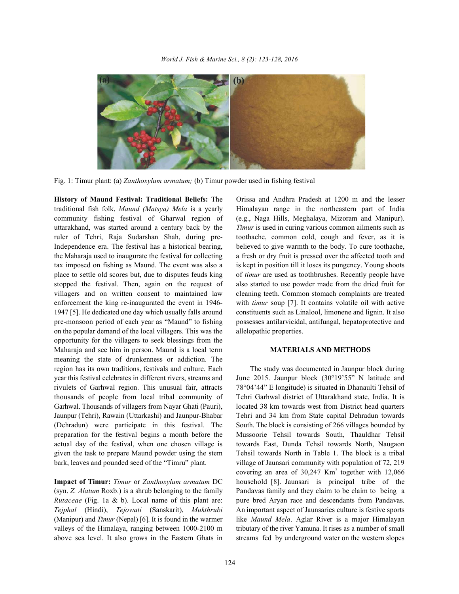*World J. Fish & Marine Sci., 8 (2): 123-128, 2016*



Fig. 1: Timur plant: (a) *Zanthoxylum armatum;* (b) Timur powder used in fishing festival

traditional fish folk, *Maund (Matsya) Mela* is a yearly Himalayan range in the northeastern part of India community fishing festival of Gharwal region of (e.g., Naga Hills, Meghalaya, Mizoram and Manipur). uttarakhand, was started around a century back by the *Timur* is used in curing various common ailments such as ruler of Tehri, Raja Sudarshan Shah, during pre- toothache, common cold, cough and fever, as it is Independence era. The festival has a historical bearing, believed to give warmth to the body. To cure toothache, the Maharaja used to inaugurate the festival for collecting a fresh or dry fruit is pressed over the affected tooth and tax imposed on fishing as Maund. The event was also a is kept in position till it loses its pungency. Young shoots place to settle old scores but, due to disputes feuds king of *timur* are used as toothbrushes. Recently people have stopped the festival. Then, again on the request of also started to use powder made from the dried fruit for villagers and on written consent to maintained law cleaning teeth. Common stomach complaints are treated enforcement the king re-inaugurated the event in 1946- with *timur* soup [7]. It contains volatile oil with active 1947 [5]. He dedicated one day which usually falls around constituents such as Linalool, limonene and lignin. It also pre-monsoon period of each year as "Maund" to fishing possesses antilarvicidal, antifungal, hepatoprotective and on the popular demand of the local villagers. This was the allelopathic properties. opportunity for the villagers to seek blessings from the Maharaja and see him in person. Maund is a local term **MATERIALS AND METHODS** meaning the state of drunkenness or addiction. The region has its own traditions, festivals and culture. Each The study was documented in Jaunpur block during year this festival celebrates in different rivers, streams and June 2015. Jaunpur block (30°19'55" N latitude and rivulets of Garhwal region. This unusual fair, attracts 78°04'44" E longitude) is situated in Dhanaulti Tehsil of thousands of people from local tribal community of Tehri Garhwal district of Uttarakhand state, India. It is Garhwal. Thousands of villagers from Nayar Ghati (Pauri), located 38 km towards west from District head quarters Jaunpur (Tehri), Rawain (Uttarkashi) and Jaunpur-Bhabar Tehri and 34 km from State capital Dehradun towards (Dehradun) were participate in this festival. The South. The block is consisting of 266 villages bounded by preparation for the festival begins a month before the Mussoorie Tehsil towards South, Thauldhar Tehsil actual day of the festival, when one chosen village is towards East, Dunda Tehsil towards North, Naugaon given the task to prepare Maund powder using the stem Tehsil towards North in Table 1. The block is a tribal bark, leaves and pounded seed of the "Timru" plant. village of Jaunsari community with population of 72, 219

(syn. *Z. Alatum* Roxb.) is a shrub belonging to the family Pandavas family and they claim to be claim to being a *Rutaceae* (Fig. 1a & b)*.* Local name of this plant are: pure bred Aryan race and descendants from Pandavas. *Tejphal* (Hindi), *Tejowati* (Sanskarit), *Mukthrubi* An important aspect of Jaunsaries culture is festive sports (Manipur) and *Timur* (Nepal) [6]. It is found in the warmer like *Maund Mela*. Aglar River is a major Himalayan valleys of the Himalaya, ranging between 1000-2100 m tributary of the river Yamuna. It rises as a number of small above sea level. It also grows in the Eastern Ghats in streams fed by underground water on the western slopes

**History of Maund Festival: Traditional Beliefs:** The Orissa and Andhra Pradesh at 1200 m and the lesser

**Impact of Timur:** *Timur* or *Zanthoxylum armatum* DC household [8]. Jaunsari is principal tribe of the covering an area of  $30,247$  Km<sup>2</sup> together with 12,066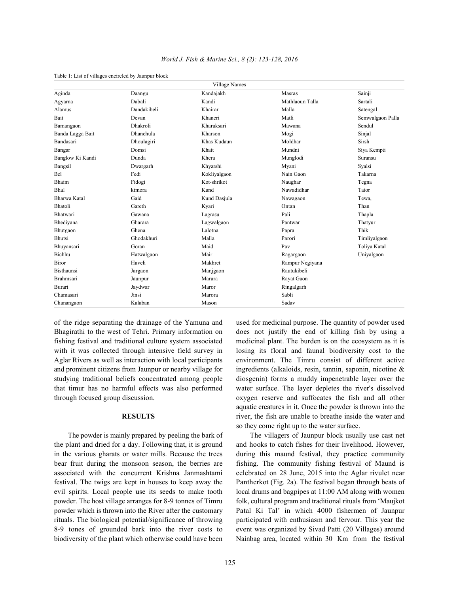| Village Names     |             |              |                 |                  |
|-------------------|-------------|--------------|-----------------|------------------|
| Aginda            | Daangu      | Kandajakh    | Masras          | Sainji           |
| Agyarna           | Dabali      | Kandi        | Mathlaoun Talla | Sartali          |
| Alamus            | Dandakibeli | Khairar      | Malla           | Satengal         |
| Bait              | Devan       | Khaneri      | Matli           | Semwalgaon Palla |
| Bamangaon         | Dhakroli    | Kharaksari   | Mawana          | Sendul           |
| Banda Lagga Bait  | Dhanchula   | Kharson      | Mogi            | Sinjal           |
| Bandasari         | Dhoulagiri  | Khas Kudaun  | Moldhar         | Sirsh            |
| Bangar            | Domsi       | Khatt        | Mundni          | Siya Kempti      |
| Banglow Ki Kandi  | Dunda       | Khera        | Munglodi        | Suransu          |
| Bangsil           | Dwargarh    | Khyarshi     | Myani           | Syalsi           |
| Bel               | Fedi        | Kokliyalgaon | Nain Gaon       | Takarna          |
| Bhaim             | Fidogi      | Kot-shrikot  | Naughar         | Tegna            |
| Bhal              | kimora      | Kund         | Nawadidhar      | Tator            |
| Bharwa Katal      | Gaid        | Kund Dasjula | Nawagaon        | Tewa,            |
| Bhatoli           | Gareth      | Kyari        | Ontan           | Than             |
| Bhatwari          | Gawana      | Lagrasu      | Pali            | Thapla           |
| Bhediyana         | Gharara     | Lagwalgaon   | Pantwar         | Thatyur          |
| Bhutgaon          | Ghena       | Lalotna      | Papra           | Thik             |
| <b>Bhutsi</b>     | Ghodakhuri  | Malla        | Parori          | Timliyalgaon     |
| Bhuyansari        | Goran       | Maid         | Pav             | Toliya Katal     |
| Bichhu            | Hatwalgaon  | Mair         | Ragargaon       | Uniyalgaon       |
| Biror             | Haveli      | Makhret      | Rampur Negiyana |                  |
| <b>Bisthaunsi</b> | Jargaon     | Manjgaon     | Rautukibeli     |                  |
| Brahmsari         | Jaunpur     | Marara       | Rayat Gaon      |                  |
| Burari            | Jaydwar     | Maror        | Ringalgarh      |                  |
| Chamasari         | Jinsi       | Marora       | Sabli           |                  |
| Chanangaon        | Kalaban     | Mason        | Sadav           |                  |

Table 1: List of villages encircled by Jaunpur block

the plant and dried for a day. Following that, it is ground and hooks to catch fishes for their livelihood. However, in the various gharats or water mills. Because the trees during this maund festival, they practice community bear fruit during the monsoon season, the berries are fishing. The community fishing festival of Maund is associated with the concurrent Krishna Janmashtami celebrated on 28 June, 2015 into the Aglar rivulet near festival. The twigs are kept in houses to keep away the Pantherkot (Fig. 2a). The festival began through beats of evil spirits. Local people use its seeds to make tooth local drums and bagpipes at 11:00 AM along with women powder. The host village arranges for 8-9 tonnes of Timru folk, cultural program and traditional rituals from 'Maujkot powder which is thrown into the River after the customary Patal Ki Tal' in which 4000 fishermen of Jaunpur rituals. The biological potential/significance of throwing participated with enthusiasm and fervour. This year the 8-9 tones of grounded bark into the river costs to event was organized by Sivad Patti (20 Villages) around biodiversity of the plant which otherwise could have been Nainbag area, located within 30 Km from the festival

of the ridge separating the drainage of the Yamuna and used for medicinal purpose. The quantity of powder used Bhagirathi to the west of Tehri. Primary information on does not justify the end of killing fish by using a fishing festival and traditional culture system associated medicinal plant. The burden is on the ecosystem as it is with it was collected through intensive field survey in losing its floral and faunal biodiversity cost to the Aglar Rivers as well as interaction with local participants environment. The Timru consist of different active and prominent citizens from Jaunpur or nearby village for ingredients (alkaloids, resin, tannin, saponin, nicotine & studying traditional beliefs concentrated among people diosgenin) forms a muddy impenetrable layer over the that timur has no harmful effects was also performed water surface. The layer depletes the river's dissolved through focused group discussion. oxygen reserve and suffocates the fish and all other **RESULTS** river, the fish are unable to breathe inside the water and aquatic creatures in it. Once the powder is thrown into the so they come right up to the water surface.

The powder is mainly prepared by peeling the bark of The villagers of Jaunpur block usually use cast net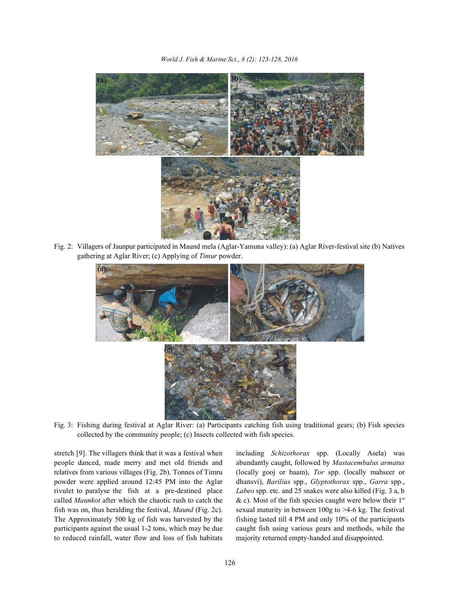*World J. Fish & Marine Sci., 8 (2): 123-128, 2016*



Fig. 2: Villagers of Jaunpur participated in Maund mela (Aglar-Yamuna valley): (a) Aglar River-festival site (b) Natives gathering at Aglar River; (c) Applying of *Timur* powder.



Fig. 3: Fishing during festival at Aglar River: (a) Participants catching fish using traditional gears; (b) Fish species collected by the community people; (c) Insects collected with fish species.

stretch [9]. The villagers think that it was a festival when including *Schizothorax* spp. (Locally Asela) was people danced, made merry and met old friends and abundantly caught, followed by *Mastacembalus armatus* relatives from various villages (Fig. 2b). Tonnes of Timru (locally gooj or baam), *Tor* spp. (locally mahseer or powder were applied around 12:45 PM into the Aglar dhansvi), *Barilius* spp., *Glyptothorax* spp., *Garra* spp., rivulet to paralyse the fish at a pre-destined place *Labeo* spp. etc. and 25 snakes were also killed (Fig. 3 a, b called *Maunkot* after which the chaotic rush to catch the fish was on, thus heralding the festival, *Maund* (Fig. 2c). sexual maturity in between 100g to >4-6 kg. The festival The Approximately 500 kg of fish was harvested by the fishing lasted till 4 PM and only 10% of the participants participants against the usual 1-2 tons, which may be due caught fish using various gears and methods, while the to reduced rainfall, water flow and loss of fish habitats majority returned empty-handed and disappointed.

& c). Most of the fish species caught were below their  $1<sup>st</sup>$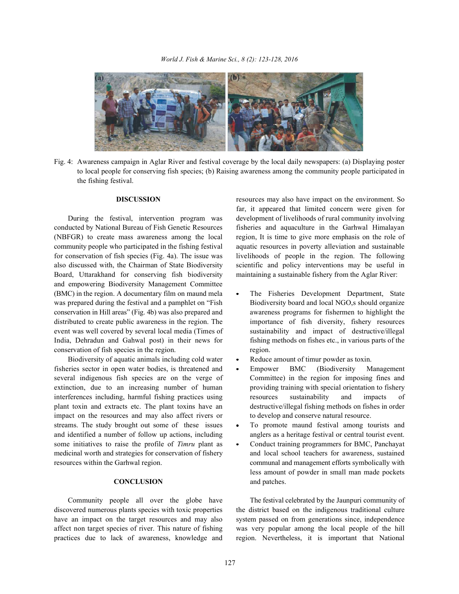

Fig. 4: Awareness campaign in Aglar River and festival coverage by the local daily newspapers: (a) Displaying poster to local people for conserving fish species; (b) Raising awareness among the community people participated in the fishing festival.

Board, Uttarakhand for conserving fish biodiversity maintaining a sustainable fishery from the Aglar River: and empowering Biodiversity Management Committee (BMC) in the region. A documentary film on maund mela • The Fisheries Development Department, State was prepared during the festival and a pamphlet on "Fish Biodiversity board and local NGO, s should organize conservation in Hill areas" (Fig. 4b) was also prepared and awareness programs for fishermen to highlight the distributed to create public awareness in the region. The importance of fish diversity, fishery resources event was well covered by several local media (Times of sustainability and impact of destructive/illegal India, Dehradun and Gahwal post) in their news for fishing methods on fishes etc., in various parts of the conservation of fish species in the region. The region region.

Biodiversity of aquatic animals including cold water • Reduce amount of timur powder as toxin. fisheries sector in open water bodies, is threatened and • Empower BMC (Biodiversity Management several indigenous fish species are on the verge of Committee) in the region for imposing fines and extinction, due to an increasing number of human providing training with special orientation to fishery interferences including, harmful fishing practices using resources sustainability and impacts of plant toxin and extracts etc. The plant toxins have an destructive/illegal fishing methods on fishes in order impact on the resources and may also affect rivers or to develop and conserve natural resource. streams. The study brought out some of these issues • To promote maund festival among tourists and and identified a number of follow up actions, including anglers as a heritage festival or central tourist event. some initiatives to raise the profile of *Timru* plant as **•** Conduct training programmers for BMC, Panchayat medicinal worth and strategies for conservation of fishery and local school teachers for awareness, sustained resources within the Garhwal region. communal and management efforts symbolically with

Community people all over the globe have The festival celebrated by the Jaunpuri community of discovered numerous plants species with toxic properties the district based on the indigenous traditional culture have an impact on the target resources and may also system passed on from generations since, independence affect non target species of river. This nature of fishing was very popular among the local people of the hill practices due to lack of awareness, knowledge and region. Nevertheless, it is important that National

**DISCUSSION** resources may also have impact on the environment. So During the festival, intervention program was development of livelihoods of rural community involving conducted by National Bureau of Fish Genetic Resources fisheries and aquaculture in the Garhwal Himalayan (NBFGR) to create mass awareness among the local region, It is time to give more emphasis on the role of community people who participated in the fishing festival aquatic resources in poverty alleviation and sustainable for conservation of fish species (Fig. 4a). The issue was livelihoods of people in the region. The following also discussed with, the Chairman of State Biodiversity scientific and policy interventions may be useful in far, it appeared that limited concern were given for

- 
- 
- 
- 
- less amount of powder in small man made pockets **CONCLUSION** and patches.